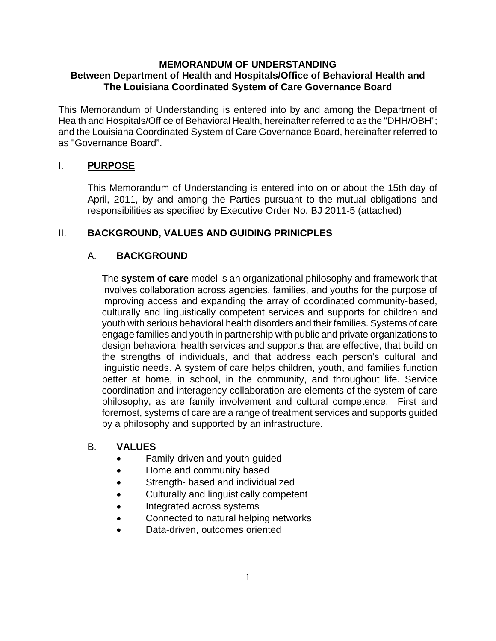### **MEMORANDUM OF UNDERSTANDING Between Department of Health and Hospitals/Office of Behavioral Health and The Louisiana Coordinated System of Care Governance Board**

This Memorandum of Understanding is entered into by and among the Department of Health and Hospitals/Office of Behavioral Health, hereinafter referred to as the "DHH/OBH"; and the Louisiana Coordinated System of Care Governance Board, hereinafter referred to as "Governance Board".

# I. **PURPOSE**

This Memorandum of Understanding is entered into on or about the 15th day of April, 2011, by and among the Parties pursuant to the mutual obligations and responsibilities as specified by Executive Order No. BJ 2011-5 (attached)

# II. **BACKGROUND, VALUES AND GUIDING PRINICPLES**

# A. **BACKGROUND**

The **system of care** model is an organizational philosophy and framework that involves collaboration across agencies, families, and youths for the purpose of improving access and expanding the array of coordinated community-based, culturally and linguistically competent services and supports for children and youth with serious behavioral health disorders and their families. Systems of care engage families and youth in partnership with public and private organizations to design behavioral health services and supports that are effective, that build on the strengths of individuals, and that address each person's cultural and linguistic needs. A system of care helps children, youth, and families function better at home, in school, in the community, and throughout life. Service coordination and interagency collaboration are elements of the system of care philosophy, as are family involvement and cultural competence. First and foremost, systems of care are a range of treatment services and supports guided by a philosophy and supported by an infrastructure.

### B. **VALUES**

- Family-driven and youth-guided
- Home and community based
- Strength- based and individualized
- Culturally and linguistically competent
- Integrated across systems
- Connected to natural helping networks
- Data-driven, outcomes oriented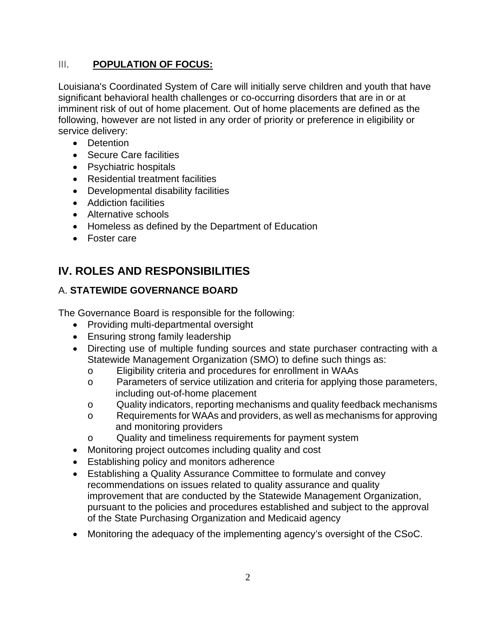# III. **POPULATION OF FOCUS:**

Louisiana's Coordinated System of Care will initially serve children and youth that have significant behavioral health challenges or co-occurring disorders that are in or at imminent risk of out of home placement. Out of home placements are defined as the following, however are not listed in any order of priority or preference in eligibility or service delivery:

- Detention
- Secure Care facilities
- Psychiatric hospitals
- Residential treatment facilities
- Developmental disability facilities
- Addiction facilities
- Alternative schools
- Homeless as defined by the Department of Education
- Foster care

# **IV. ROLES AND RESPONSIBILITIES**

# A. **STATEWIDE GOVERNANCE BOARD**

The Governance Board is responsible for the following:

- Providing multi-departmental oversight
- Ensuring strong family leadership
- Directing use of multiple funding sources and state purchaser contracting with a Statewide Management Organization (SMO) to define such things as:
	- o Eligibility criteria and procedures for enrollment in WAAs
	- o Parameters of service utilization and criteria for applying those parameters, including out-of-home placement
	- o Quality indicators, reporting mechanisms and quality feedback mechanisms
	- o Requirements for WAAs and providers, as well as mechanisms for approving and monitoring providers
	- o Quality and timeliness requirements for payment system
- Monitoring project outcomes including quality and cost
- Establishing policy and monitors adherence
- Establishing a Quality Assurance Committee to formulate and convey recommendations on issues related to quality assurance and quality improvement that are conducted by the Statewide Management Organization, pursuant to the policies and procedures established and subject to the approval of the State Purchasing Organization and Medicaid agency
- Monitoring the adequacy of the implementing agency's oversight of the CSoC.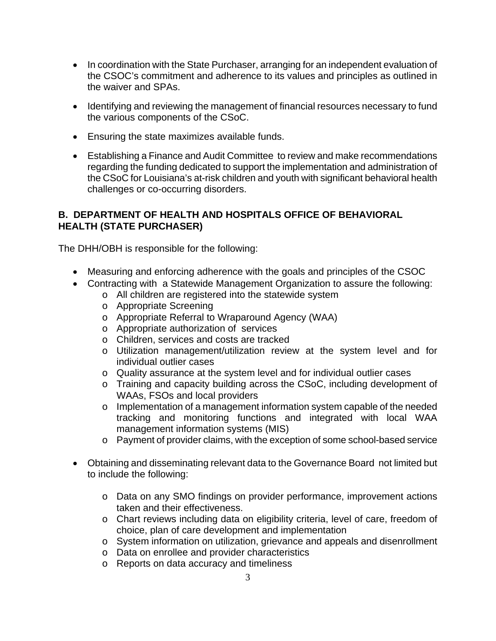- In coordination with the State Purchaser, arranging for an independent evaluation of the CSOC's commitment and adherence to its values and principles as outlined in the waiver and SPAs.
- Identifying and reviewing the management of financial resources necessary to fund the various components of the CSoC.
- Ensuring the state maximizes available funds.
- Establishing a Finance and Audit Committee to review and make recommendations regarding the funding dedicated to support the implementation and administration of the CSoC for Louisiana's at-risk children and youth with significant behavioral health challenges or co-occurring disorders.

# **B. DEPARTMENT OF HEALTH AND HOSPITALS OFFICE OF BEHAVIORAL HEALTH (STATE PURCHASER)**

The DHH/OBH is responsible for the following:

- Measuring and enforcing adherence with the goals and principles of the CSOC
- Contracting with a Statewide Management Organization to assure the following:
	- o All children are registered into the statewide system
	- o Appropriate Screening
	- o Appropriate Referral to Wraparound Agency (WAA)
	- o Appropriate authorization of services
	- o Children, services and costs are tracked
	- o Utilization management/utilization review at the system level and for individual outlier cases
	- o Quality assurance at the system level and for individual outlier cases
	- o Training and capacity building across the CSoC, including development of WAAs, FSOs and local providers
	- o Implementation of a management information system capable of the needed tracking and monitoring functions and integrated with local WAA management information systems (MIS)
	- o Payment of provider claims, with the exception of some school-based service
- Obtaining and disseminating relevant data to the Governance Board not limited but to include the following:
	- o Data on any SMO findings on provider performance, improvement actions taken and their effectiveness.
	- o Chart reviews including data on eligibility criteria, level of care, freedom of choice, plan of care development and implementation
	- o System information on utilization, grievance and appeals and disenrollment
	- o Data on enrollee and provider characteristics
	- o Reports on data accuracy and timeliness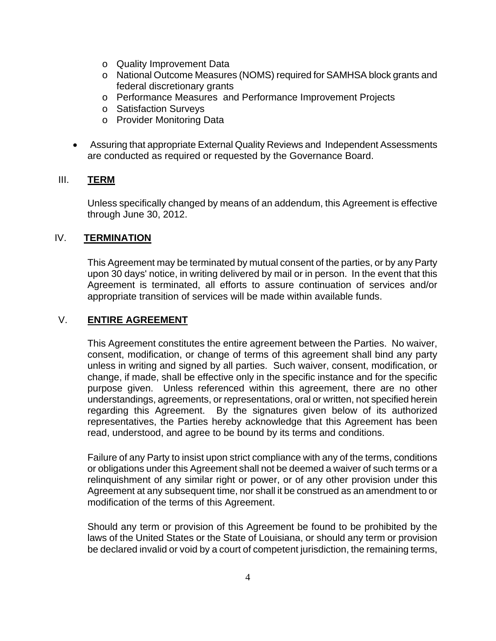- o Quality Improvement Data
- o National Outcome Measures (NOMS) required for SAMHSA block grants and federal discretionary grants
- o Performance Measures and Performance Improvement Projects
- o Satisfaction Surveys
- o Provider Monitoring Data
- Assuring that appropriate External Quality Reviews and Independent Assessments are conducted as required or requested by the Governance Board.

### III. **TERM**

Unless specifically changed by means of an addendum, this Agreement is effective through June 30, 2012.

### IV. **TERMINATION**

This Agreement may be terminated by mutual consent of the parties, or by any Party upon 30 days' notice, in writing delivered by mail or in person. In the event that this Agreement is terminated, all efforts to assure continuation of services and/or appropriate transition of services will be made within available funds.

### V. **ENTIRE AGREEMENT**

This Agreement constitutes the entire agreement between the Parties. No waiver, consent, modification, or change of terms of this agreement shall bind any party unless in writing and signed by all parties. Such waiver, consent, modification, or change, if made, shall be effective only in the specific instance and for the specific purpose given. Unless referenced within this agreement, there are no other understandings, agreements, or representations, oral or written, not specified herein regarding this Agreement. By the signatures given below of its authorized representatives, the Parties hereby acknowledge that this Agreement has been read, understood, and agree to be bound by its terms and conditions.

Failure of any Party to insist upon strict compliance with any of the terms, conditions or obligations under this Agreement shall not be deemed a waiver of such terms or a relinquishment of any similar right or power, or of any other provision under this Agreement at any subsequent time, nor shall it be construed as an amendment to or modification of the terms of this Agreement.

Should any term or provision of this Agreement be found to be prohibited by the laws of the United States or the State of Louisiana, or should any term or provision be declared invalid or void by a court of competent jurisdiction, the remaining terms,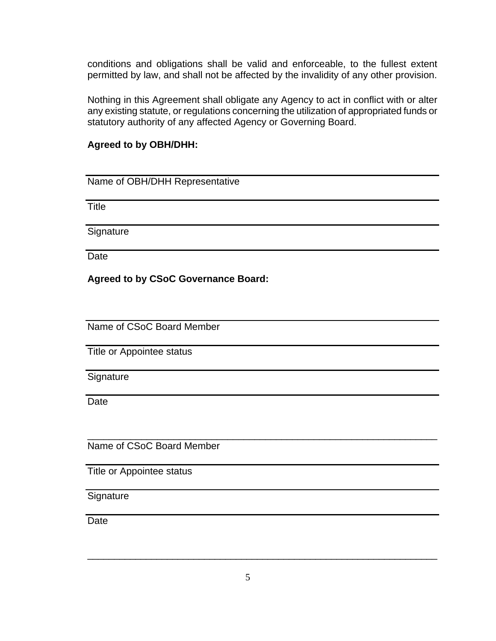conditions and obligations shall be valid and enforceable, to the fullest extent permitted by law, and shall not be affected by the invalidity of any other provision.

Nothing in this Agreement shall obligate any Agency to act in conflict with or alter any existing statute, or regulations concerning the utilization of appropriated funds or statutory authority of any affected Agency or Governing Board.

### **Agreed to by OBH/DHH:**

Name of OBH/DHH Representative

**Title** 

**Signature** 

Date

### **Agreed to by CSoC Governance Board:**

Name of CSoC Board Member

Title or Appointee status

Signature

Date

Name of CSoC Board Member

Title or Appointee status

**Signature** 

Date

 $\overline{\phantom{a}}$  , and the contribution of the contribution of the contribution of the contribution of the contribution of the contribution of the contribution of the contribution of the contribution of the contribution of the

\_\_\_\_\_\_\_\_\_\_\_\_\_\_\_\_\_\_\_\_\_\_\_\_\_\_\_\_\_\_\_\_\_\_\_\_\_\_\_\_\_\_\_\_\_\_\_\_\_\_\_\_\_\_\_\_\_\_\_\_\_\_\_\_\_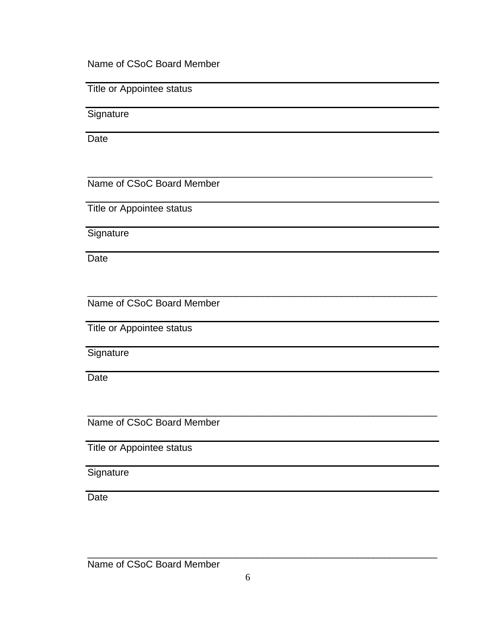Name of CSoC Board Member

Title or Appointee status

**Signature** 

Date

Name of CSoC Board Member

Title or Appointee status

**Signature** 

**Date** 

Name of CSoC Board Member

Title or Appointee status

**Signature** 

**Date** 

Name of CSoC Board Member

Title or Appointee status

**Signature** 

**Date** 

Name of CSoC Board Member

 $\overline{\phantom{a}}$  , and the contribution of the contribution of the contribution of the contribution of the contribution of the contribution of the contribution of the contribution of the contribution of the contribution of the

\_\_\_\_\_\_\_\_\_\_\_\_\_\_\_\_\_\_\_\_\_\_\_\_\_\_\_\_\_\_\_\_\_\_\_\_\_\_\_\_\_\_\_\_\_\_\_\_\_\_\_\_\_\_\_\_\_\_\_\_\_\_\_\_

\_\_\_\_\_\_\_\_\_\_\_\_\_\_\_\_\_\_\_\_\_\_\_\_\_\_\_\_\_\_\_\_\_\_\_\_\_\_\_\_\_\_\_\_\_\_\_\_\_\_\_\_\_\_\_\_\_\_\_\_\_\_\_\_\_\_

\_\_\_\_\_\_\_\_\_\_\_\_\_\_\_\_\_\_\_\_\_\_\_\_\_\_\_\_\_\_\_\_\_\_\_\_\_\_\_\_\_\_\_\_\_\_\_\_\_\_\_\_\_\_\_\_\_\_\_\_\_\_\_\_\_\_